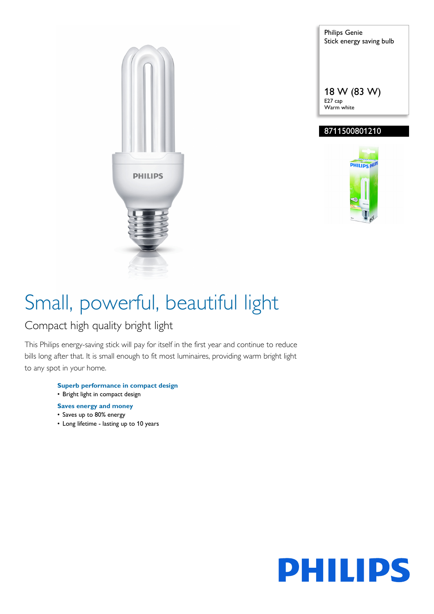

Philips Genie Stick energy saving bulb 18 W (83 W) E27 cap Warm white

### 8711500801210



# Small, powerful, beautiful light

### Compact high quality bright light

This Philips energy-saving stick will pay for itself in the first year and continue to reduce bills long after that. It is small enough to fit most luminaires, providing warm bright light to any spot in your home.

- **Superb performance in compact design** • Bright light in compact design
- 
- **Saves energy and money**
- Saves up to 80% energy
- Long lifetime lasting up to 10 years